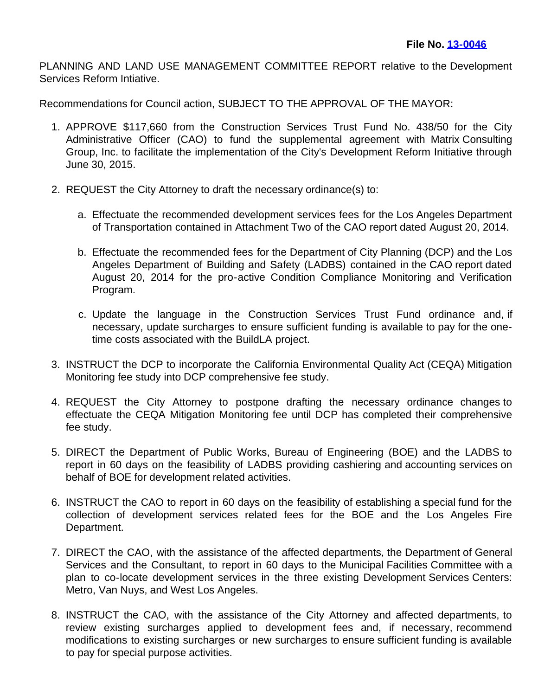PLANNING AND LAND USE MANAGEMENT COMMITTEE REPORT relative to the Development Services Reform Intiative.

Recommendations for Council action, SUBJECT TO THE APPROVAL OF THE MAYOR:

- 1. APPROVE \$117,660 from the Construction Services Trust Fund No. 438/50 for the City Administrative Officer (CAO) to fund the supplemental agreement with Matrix Consulting Group, Inc. to facilitate the implementation of the City's Development Reform Initiative through June 30, 2015.
- 2. REQUEST the City Attorney to draft the necessary ordinance(s) to:
	- a. Effectuate the recommended development services fees for the Los Angeles Department of Transportation contained in Attachment Two of the CAO report dated August 20, 2014.
	- b. Effectuate the recommended fees for the Department of City Planning (DCP) and the Los Angeles Department of Building and Safety (LADBS) contained in the CAO report dated August 20, 2014 for the pro-active Condition Compliance Monitoring and Verification Program.
	- c. Update the language in the Construction Services Trust Fund ordinance and, if necessary, update surcharges to ensure sufficient funding is available to pay for the onetime costs associated with the BuildLA project.
- 3. INSTRUCT the DCP to incorporate the California Environmental Quality Act (CEQA) Mitigation Monitoring fee study into DCP comprehensive fee study.
- 4. REQUEST the City Attorney to postpone drafting the necessary ordinance changes to effectuate the CEQA Mitigation Monitoring fee until DCP has completed their comprehensive fee study.
- 5. DIRECT the Department of Public Works, Bureau of Engineering (BOE) and the LADBS to report in 60 days on the feasibility of LADBS providing cashiering and accounting services on behalf of BOE for development related activities.
- 6. INSTRUCT the CAO to report in 60 days on the feasibility of establishing a special fund for the collection of development services related fees for the BOE and the Los Angeles Fire Department.
- 7. DIRECT the CAO, with the assistance of the affected departments, the Department of General Services and the Consultant, to report in 60 days to the Municipal Facilities Committee with a plan to co-locate development services in the three existing Development Services Centers: Metro, Van Nuys, and West Los Angeles.
- 8. INSTRUCT the CAO, with the assistance of the City Attorney and affected departments, to review existing surcharges applied to development fees and, if necessary, recommend modifications to existing surcharges or new surcharges to ensure sufficient funding is available to pay for special purpose activities.